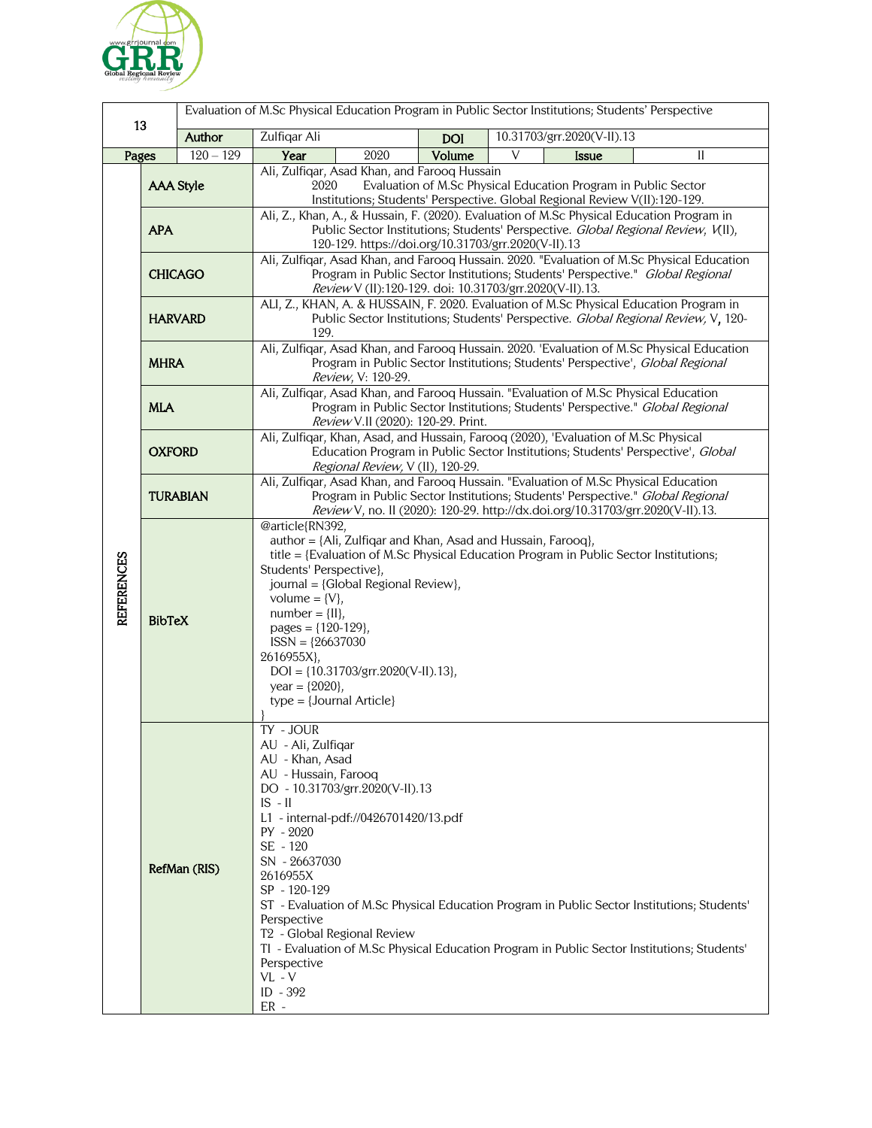

| 13                |                  |             | Evaluation of M.Sc Physical Education Program in Public Sector Institutions; Students' Perspective                                                                                                                                                                                                                                                                                                                                                 |      |            |                                                                                                                                                                                            |
|-------------------|------------------|-------------|----------------------------------------------------------------------------------------------------------------------------------------------------------------------------------------------------------------------------------------------------------------------------------------------------------------------------------------------------------------------------------------------------------------------------------------------------|------|------------|--------------------------------------------------------------------------------------------------------------------------------------------------------------------------------------------|
|                   |                  | Author      | Zulfiqar Ali                                                                                                                                                                                                                                                                                                                                                                                                                                       |      | <b>DOI</b> | 10.31703/grr.2020(V-II).13                                                                                                                                                                 |
| Pages             |                  | $120 - 129$ | Year                                                                                                                                                                                                                                                                                                                                                                                                                                               | 2020 | Volume     | V<br><b>Issue</b><br>II                                                                                                                                                                    |
|                   | <b>AAA Style</b> |             | Ali, Zulfiqar, Asad Khan, and Farooq Hussain<br>Evaluation of M.Sc Physical Education Program in Public Sector<br>2020<br>Institutions; Students' Perspective. Global Regional Review V(II):120-129.                                                                                                                                                                                                                                               |      |            |                                                                                                                                                                                            |
| <b>REFERENCES</b> | <b>APA</b>       |             | Ali, Z., Khan, A., & Hussain, F. (2020). Evaluation of M.Sc Physical Education Program in<br>Public Sector Institutions; Students' Perspective. Global Regional Review, V(II),<br>120-129. https://doi.org/10.31703/grr.2020(V-II).13                                                                                                                                                                                                              |      |            |                                                                                                                                                                                            |
|                   | <b>CHICAGO</b>   |             | Ali, Zulfiqar, Asad Khan, and Farooq Hussain. 2020. "Evaluation of M.Sc Physical Education<br>Program in Public Sector Institutions; Students' Perspective." Global Regional<br>Review V (II):120-129. doi: 10.31703/grr.2020(V-II).13.                                                                                                                                                                                                            |      |            |                                                                                                                                                                                            |
|                   | <b>HARVARD</b>   |             | ALI, Z., KHAN, A. & HUSSAIN, F. 2020. Evaluation of M.Sc Physical Education Program in<br>Public Sector Institutions; Students' Perspective. Global Regional Review, V, 120-<br>129.                                                                                                                                                                                                                                                               |      |            |                                                                                                                                                                                            |
|                   | <b>MHRA</b>      |             | Ali, Zulfiqar, Asad Khan, and Farooq Hussain. 2020. 'Evaluation of M.Sc Physical Education<br>Program in Public Sector Institutions; Students' Perspective', Global Regional<br>Review, V: 120-29.                                                                                                                                                                                                                                                 |      |            |                                                                                                                                                                                            |
|                   | <b>MLA</b>       |             | Ali, Zulfiqar, Asad Khan, and Farooq Hussain. "Evaluation of M.Sc Physical Education<br>Program in Public Sector Institutions; Students' Perspective." Global Regional<br>Review V.II (2020): 120-29. Print.                                                                                                                                                                                                                                       |      |            |                                                                                                                                                                                            |
|                   | <b>OXFORD</b>    |             | Ali, Zulfiqar, Khan, Asad, and Hussain, Farooq (2020), 'Evaluation of M.Sc Physical<br>Education Program in Public Sector Institutions; Students' Perspective', Global<br>Regional Review, V (II), 120-29.                                                                                                                                                                                                                                         |      |            |                                                                                                                                                                                            |
|                   | <b>TURABIAN</b>  |             | Ali, Zulfiqar, Asad Khan, and Farooq Hussain. "Evaluation of M.Sc Physical Education<br>Program in Public Sector Institutions; Students' Perspective." Global Regional<br>Review V, no. II (2020): 120-29. http://dx.doi.org/10.31703/grr.2020(V-II).13.                                                                                                                                                                                           |      |            |                                                                                                                                                                                            |
|                   | <b>BibTeX</b>    |             | @article{RN392,<br>author = {Ali, Zulfiqar and Khan, Asad and Hussain, Farooq},<br>title = {Evaluation of M.Sc Physical Education Program in Public Sector Institutions;<br>Students' Perspective},<br>journal = {Global Regional Review},<br>volume = $\{V\},\$<br>$number = \{II\},$<br>pages = ${120-129}$ ,<br>$ISSN = {26637030}$<br>2616955X},<br>$DOI = \{10.31703/grr.2020(V-II).13\},$<br>year = ${2020}$ ,<br>$type = {Journal Article}$ |      |            |                                                                                                                                                                                            |
|                   | RefMan (RIS)     |             | TY - JOUR<br>AU - Ali, Zulfiqar<br>AU - Khan, Asad<br>AU - Hussain, Farooq<br>DO - 10.31703/grr.2020(V-II).13<br>$IS - II$<br>L1 - internal-pdf://0426701420/13.pdf<br>PY - 2020<br>SE - 120<br>SN - 26637030<br>2616955X<br>SP - 120-129<br>Perspective<br>T <sub>2</sub> - Global Regional Review<br>Perspective<br>$VL - V$<br>ID - 392<br>$ER -$                                                                                               |      |            | ST - Evaluation of M.Sc Physical Education Program in Public Sector Institutions; Students'<br>TI - Evaluation of M.Sc Physical Education Program in Public Sector Institutions; Students' |